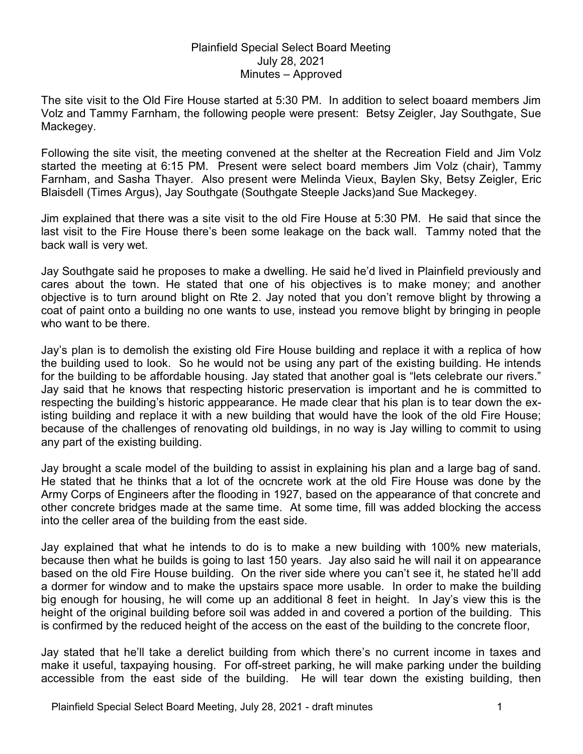## Plainfield Special Select Board Meeting July 28, 2021 Minutes – Approved

The site visit to the Old Fire House started at 5:30 PM. In addition to select boaard members Jim Volz and Tammy Farnham, the following people were present: Betsy Zeigler, Jay Southgate, Sue Mackegey.

Following the site visit, the meeting convened at the shelter at the Recreation Field and Jim Volz started the meeting at 6:15 PM. Present were select board members Jim Volz (chair), Tammy Farnham, and Sasha Thayer. Also present were Melinda Vieux, Baylen Sky, Betsy Zeigler, Eric Blaisdell (Times Argus), Jay Southgate (Southgate Steeple Jacks)and Sue Mackegey.

Jim explained that there was a site visit to the old Fire House at 5:30 PM. He said that since the last visit to the Fire House there's been some leakage on the back wall. Tammy noted that the back wall is very wet.

Jay Southgate said he proposes to make a dwelling. He said he'd lived in Plainfield previously and cares about the town. He stated that one of his objectives is to make money; and another objective is to turn around blight on Rte 2. Jay noted that you don't remove blight by throwing a coat of paint onto a building no one wants to use, instead you remove blight by bringing in people who want to be there.

Jay's plan is to demolish the existing old Fire House building and replace it with a replica of how the building used to look. So he would not be using any part of the existing building. He intends for the building to be affordable housing. Jay stated that another goal is "lets celebrate our rivers." Jay said that he knows that respecting historic preservation is important and he is committed to respecting the building's historic apppearance. He made clear that his plan is to tear down the existing building and replace it with a new building that would have the look of the old Fire House; because of the challenges of renovating old buildings, in no way is Jay willing to commit to using any part of the existing building.

Jay brought a scale model of the building to assist in explaining his plan and a large bag of sand. He stated that he thinks that a lot of the ocncrete work at the old Fire House was done by the Army Corps of Engineers after the flooding in 1927, based on the appearance of that concrete and other concrete bridges made at the same time. At some time, fill was added blocking the access into the celler area of the building from the east side.

Jay explained that what he intends to do is to make a new building with 100% new materials, because then what he builds is going to last 150 years. Jay also said he will nail it on appearance based on the old Fire House building. On the river side where you can't see it, he stated he'll add a dormer for window and to make the upstairs space more usable. In order to make the building big enough for housing, he will come up an additional 8 feet in height. In Jay's view this is the height of the original building before soil was added in and covered a portion of the building. This is confirmed by the reduced height of the access on the east of the building to the concrete floor,

Jay stated that he'll take a derelict building from which there's no current income in taxes and make it useful, taxpaying housing. For off-street parking, he will make parking under the building accessible from the east side of the building. He will tear down the existing building, then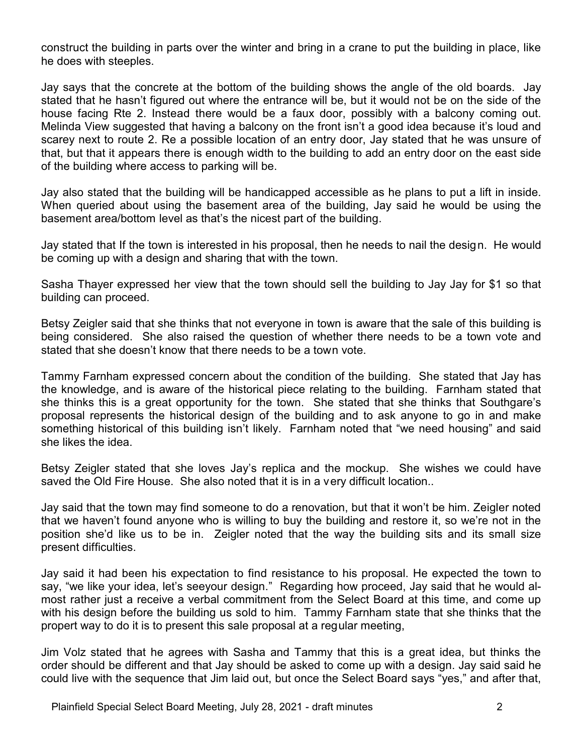construct the building in parts over the winter and bring in a crane to put the building in place, like he does with steeples.

Jay says that the concrete at the bottom of the building shows the angle of the old boards. Jay stated that he hasn't figured out where the entrance will be, but it would not be on the side of the house facing Rte 2. Instead there would be a faux door, possibly with a balcony coming out. Melinda View suggested that having a balcony on the front isn't a good idea because it's loud and scarey next to route 2. Re a possible location of an entry door, Jay stated that he was unsure of that, but that it appears there is enough width to the building to add an entry door on the east side of the building where access to parking will be.

Jay also stated that the building will be handicapped accessible as he plans to put a lift in inside. When queried about using the basement area of the building, Jay said he would be using the basement area/bottom level as that's the nicest part of the building.

Jay stated that If the town is interested in his proposal, then he needs to nail the design. He would be coming up with a design and sharing that with the town.

Sasha Thayer expressed her view that the town should sell the building to Jay Jay for \$1 so that building can proceed.

Betsy Zeigler said that she thinks that not everyone in town is aware that the sale of this building is being considered. She also raised the question of whether there needs to be a town vote and stated that she doesn't know that there needs to be a town vote.

Tammy Farnham expressed concern about the condition of the building. She stated that Jay has the knowledge, and is aware of the historical piece relating to the building. Farnham stated that she thinks this is a great opportunity for the town. She stated that she thinks that Southgare's proposal represents the historical design of the building and to ask anyone to go in and make something historical of this building isn't likely. Farnham noted that "we need housing" and said she likes the idea.

Betsy Zeigler stated that she loves Jay's replica and the mockup. She wishes we could have saved the Old Fire House. She also noted that it is in a very difficult location..

Jay said that the town may find someone to do a renovation, but that it won't be him. Zeigler noted that we haven't found anyone who is willing to buy the building and restore it, so we're not in the position she'd like us to be in. Zeigler noted that the way the building sits and its small size present difficulties.

Jay said it had been his expectation to find resistance to his proposal. He expected the town to say, "we like your idea, let's seeyour design." Regarding how proceed, Jay said that he would almost rather just a receive a verbal commitment from the Select Board at this time, and come up with his design before the building us sold to him. Tammy Farnham state that she thinks that the propert way to do it is to present this sale proposal at a regular meeting,

Jim Volz stated that he agrees with Sasha and Tammy that this is a great idea, but thinks the order should be different and that Jay should be asked to come up with a design. Jay said said he could live with the sequence that Jim laid out, but once the Select Board says "yes," and after that,